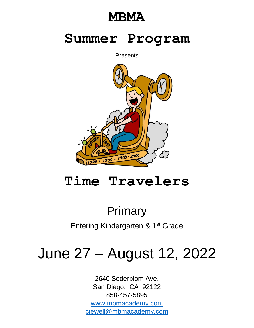## **MBMA**

## **Summer Program**

**Presents** 



# **Time Travelers**

## Primary

Entering Kindergarten & 1<sup>st</sup> Grade

# June 27 – August 12, 2022

2640 Soderblom Ave. San Diego, CA 92122 858-457-5895 [www.mbmacademy.com](http://www.mbmacademy.com/) [cjewell@mbmacademy.com](mailto:cjewell@mbmacademy.com)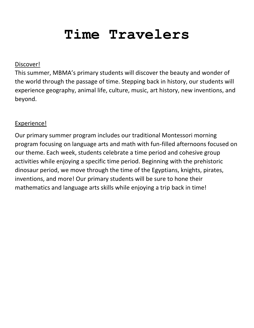# **Time Travelers**

## Discover!

This summer, MBMA's primary students will discover the beauty and wonder of the world through the passage of time. Stepping back in history, our students will experience geography, animal life, culture, music, art history, new inventions, and beyond.

## Experience!

Our primary summer program includes our traditional Montessori morning program focusing on language arts and math with fun-filled afternoons focused on our theme. Each week, students celebrate a time period and cohesive group activities while enjoying a specific time period. Beginning with the prehistoric dinosaur period, we move through the time of the Egyptians, knights, pirates, inventions, and more! Our primary students will be sure to hone their mathematics and language arts skills while enjoying a trip back in time!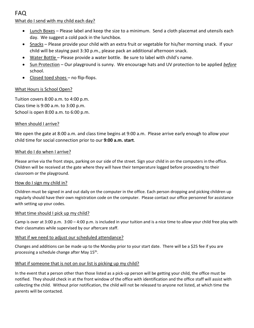FAQ

## What do I send with my child each day?

- Lunch Boxes Please label and keep the size to a minimum. Send a cloth placemat and utensils each day. We suggest a cold pack in the lunchbox.
- Snacks Please provide your child with an extra fruit or vegetable for his/her morning snack. If your child will be staying past 3:30 p.m., please pack an additional afternoon snack.
- Water Bottle Please provide a water bottle. Be sure to label with child's name.
- Sun Protection Our playground is sunny. We encourage hats and UV protection to be applied *before* school.
- Closed toed shoes no flip-flops.

## What Hours is School Open?

Tuition covers 8:00 a.m. to 4:00 p.m. Class time is 9:00 a.m. to 3:00 p.m. School is open 8:00 a.m. to 6:00 p.m.

## When should I arrive?

We open the gate at 8:00 a.m. and class time begins at 9:00 a.m. Please arrive early enough to allow your child time for social connection prior to our **9:00 a.m. start**.

### What do I do when I arrive?

Please arrive via the front steps, parking on our side of the street. Sign your child in on the computers in the office. Children will be received at the gate where they will have their temperature logged before proceeding to their classroom or the playground.

#### How do I sign my child in?

Children must be signed in and out daily on the computer in the office. Each person dropping and picking children up regularly should have their own registration code on the computer. Please contact our office personnel for assistance with setting up your codes.

#### What time should I pick up my child?

Camp is over at 3:00 p.m. 3:00 – 4:00 p.m. is included in your tuition and is a nice time to allow your child free play with their classmates while supervised by our aftercare staff.

## What if we need to adjust our scheduled attendance?

Changes and additions can be made up to the Monday prior to your start date. There will be a \$25 fee if you are processing a schedule change after May 15<sup>th</sup>.

#### What if someone that is not on our list is picking up my child?

In the event that a person other than those listed as a pick-up person will be getting your child, the office must be notified. They should check in at the front window of the office with identification and the office staff will assist with collecting the child. Without prior notification, the child will not be released to anyone not listed, at which time the parents will be contacted.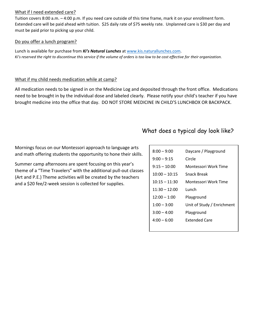## What if I need extended care?

Tuition covers 8:00 a.m. – 4:00 p.m. If you need care outside of this time frame, mark it on your enrollment form. Extended care will be paid ahead with tuition. \$25 daily rate of \$75 weekly rate. Unplanned care is \$30 per day and must be paid prior to picking up your child.

## Do you offer a lunch program?

Lunch is available for purchase from *Ki's Natural Lunches* a[t www.kis.naturallunches.com.](http://www.kis.naturallunches.com/) *Ki's reserved the right to discontinue this service if the volume of orders is too low to be cost effective for their organization.* 

## What if my child needs medication while at camp?

All medication needs to be signed in on the Medicine Log and deposited through the front office. Medications need to be brought in by the individual dose and labeled clearly. Please notify your child's teacher if you have brought medicine into the office that day. DO NOT STORE MEDICINE IN CHILD'S LUNCHBOX OR BACKPACK.

## What does a typical day look like?

Mornings focus on our Montessori approach to language arts and math offering students the opportunity to hone their skills.

Summer camp afternoons are spent focusing on this year's theme of a "Time Travelers" with the additional pull-out classes (Art and P.E.) Theme activities will be created by the teachers and a \$20 fee/2-week session is collected for supplies.

| $8:00 - 9:00$   | Daycare / Playground       |
|-----------------|----------------------------|
| $9:00 - 9:15$   | Circle                     |
| $9:15 - 10:00$  | Montessori Work Time       |
| $10:00 - 10:15$ | Snack Break                |
| $10:15 - 11:30$ | Montessori Work Time       |
| $11:30 - 12:00$ | Lunch                      |
| $12:00 - 1:00$  | Playground                 |
| $1:00 - 3:00$   | Unit of Study / Enrichment |
| $3:00 - 4:00$   | Playground                 |
| $4:00 - 6:00$   | <b>Extended Care</b>       |
|                 |                            |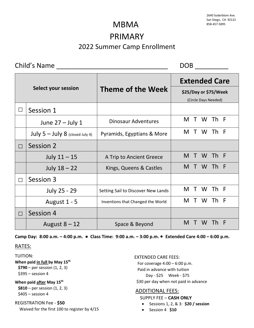## PRIMARY 2022 Summer Camp Enrollment

Child's Name \_\_\_\_\_\_\_\_\_\_\_\_\_\_\_\_\_\_\_\_\_\_\_\_\_\_\_\_\_\_ DOB \_\_\_\_\_\_\_\_\_

| <b>Select your session</b> |                                   |                                    | <b>Extended Care</b>                          |  |  |  |  |
|----------------------------|-----------------------------------|------------------------------------|-----------------------------------------------|--|--|--|--|
|                            |                                   | Theme of the Week                  | \$25/Day or \$75/Week<br>(Circle Days Needed) |  |  |  |  |
|                            | Session 1                         |                                    |                                               |  |  |  |  |
|                            | June $27 -$ July 1                | <b>Dinosaur Adventures</b>         | M T W Th F                                    |  |  |  |  |
|                            | July $5 -$ July 8 (closed July 4) | Pyramids, Egyptians & More         | W Th F<br>M T                                 |  |  |  |  |
| П                          | Session 2                         |                                    |                                               |  |  |  |  |
|                            | July $11 - 15$                    | A Trip to Ancient Greece           | M T W Th F                                    |  |  |  |  |
|                            | July $18 - 22$                    | Kings, Queens & Castles            | Th F<br>W.<br>M T                             |  |  |  |  |
| П                          | Session 3                         |                                    |                                               |  |  |  |  |
|                            | July 25 - 29                      | Setting Sail to Discover New Lands | M T<br>W Th F                                 |  |  |  |  |
|                            | August 1 - 5                      | Inventions that Changed the World  | W Th F<br>M T                                 |  |  |  |  |
| П                          | Session 4                         |                                    |                                               |  |  |  |  |
|                            | August $8 - 12$                   | Space & Beyond                     | W.<br>M T<br><b>Th</b><br>- F                 |  |  |  |  |

**Camp Day: 8:00 a.m. – 4:00 p.m. ● Class Time: 9:00 a.m. – 3:00 p.m. Extended Care 4:00 – 6:00 p.m.**

## RATES:

## TUITION: **When paid in full by May 15th \$790** – per session (1, 2, 3)

\$395 – session 4

## **When paid after May 15th**

 **\$810** – per session (1, 2, 3) \$405 – session 4

## REGISTRATION Fee - **\$50**

Waived for the first 100 to register by 4/15

EXTENDED CARE FEES:

For coverage  $4:00 - 6:00$  p.m. Paid in advance with tuition Day - \$25 Week - \$75 \$30 per day when not paid in advance

## ADDITIONAL FEES:

SUPPLY FEE – **CASH ONLY**

- Sessions 1, 2, & 3: **\$20 / session**
- Session 4 **\$10**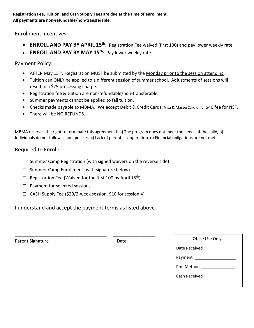## **Registration Fee, Tuition, and Cash Supply Fees are due at the time of enrollment. All payments are non-refundable/non-transferable.**

Enrollment Incentives:

- **ENROLL AND PAY BY APRIL 15<sup>th</sup>:** Registration Fee waived (first 100) and pay lower weekly rate.
- **ENROLL AND PAY BY MAY 15th**: Pay lower weekly rate.

Payment Policy:

- **•** AFTER May 15<sup>th</sup>: Registration MUST be submitted by the Monday prior to the session attending.
- Tuition can ONLY be applied to a different session of summer school. Adjustments of sessions will result in a \$25 processing charge.
- Registration fee & tuition are non-refundable/non-transferable.
- Summer payments cannot be applied to fall tuition.
- Checks made payable to MBMA. We accept Debit & Credit Cards: Visa & MasterCard only. \$40 fee for NSF.
- There will be NO REFUNDS.

MBMA reserves the right to terminate this agreement if a) The program does not meet the needs of the child, b) Individuals do not follow school policies, c) Lack of parent's cooperation, d) Financial obligations are not met.

## Required to Enroll:

- $\square$  Summer Camp Registration (with signed waivers on the reverse side)
- $\Box$  Summer Camp Enrollment (with signature below)
- $\square$  Registration Fee (Waived for the first 100 by April 15<sup>th</sup>)
- □ Payment for selected sessions.
- □ CASH Supply Fee (\$20/2-week session, \$10 for session 4)

I understand and accept the payment terms as listed above

\_\_\_\_\_\_\_\_\_\_\_\_\_\_\_\_\_\_\_\_\_\_\_\_\_\_\_\_\_\_\_\_\_\_\_\_\_ \_\_\_\_\_\_\_\_\_\_\_\_\_\_\_\_\_

example and the contract of the contract of the contract of the Date of Date of the Use Office Use Office Use Only  $\overline{D}$  Date of the Use Office Use Office Use Only  $\overline{D}$  Date

| Office Use Only: |
|------------------|
| Date Received    |
| Payment          |
| Pmt Method _     |
| Cash Received    |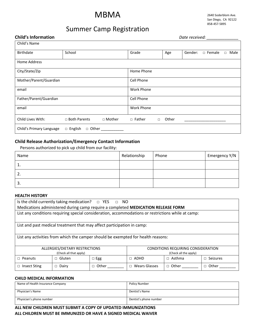## MBMA

2640 Soderblom Ave. San Diego, CA 92122 858-457-5895

## Summer Camp Registration

| <b>Child's Information</b> | Date received:                  |                   |        |       |         |               |        |      |
|----------------------------|---------------------------------|-------------------|--------|-------|---------|---------------|--------|------|
| Child's Name               |                                 |                   |        |       |         |               |        |      |
| Birthdate                  | School                          | Grade             |        | Age   | Gender: | $\Box$ Female | $\Box$ | Male |
| <b>Home Address</b>        |                                 |                   |        |       |         |               |        |      |
| City/State/Zip             |                                 | Home Phone        |        |       |         |               |        |      |
| Mother/Parent/Guardian     |                                 | Cell Phone        |        |       |         |               |        |      |
| email                      |                                 | <b>Work Phone</b> |        |       |         |               |        |      |
| Father/Parent/Guardian     |                                 | Cell Phone        |        |       |         |               |        |      |
| email                      |                                 | <b>Work Phone</b> |        |       |         |               |        |      |
| Child Lives With:          | □ Both Parents<br>$\Box$ Mother | $\Box$ Father     | $\Box$ | Other |         |               |        |      |
| Child's Primary Language   | $\Box$ English<br>□ Other       |                   |        |       |         |               |        |      |

## **Child Release Authorization/Emergency Contact Information**

Persons authorized to pick up child from our facility:

| Name | Relationship | Phone | Emergency Y/N |
|------|--------------|-------|---------------|
| ᆠ.   |              |       |               |
| Ζ.   |              |       |               |
| э.   |              |       |               |

#### **HEALTH HISTORY**

| Is the child currently taking medication? $\Box$ YES $\Box$ NO                                     |                                                                        |                       |                         |               |                 |  |
|----------------------------------------------------------------------------------------------------|------------------------------------------------------------------------|-----------------------|-------------------------|---------------|-----------------|--|
| Medications administered during camp require a completed MEDICATION RELEASE FORM                   |                                                                        |                       |                         |               |                 |  |
| List any conditions requiring special consideration, accommodations or restrictions while at camp: |                                                                        |                       |                         |               |                 |  |
|                                                                                                    |                                                                        |                       |                         |               |                 |  |
|                                                                                                    | List and past medical treatment that may affect participation in camp: |                       |                         |               |                 |  |
|                                                                                                    |                                                                        |                       |                         |               |                 |  |
| List any activities from which the camper should be exempted for health reasons:                   |                                                                        |                       |                         |               |                 |  |
|                                                                                                    |                                                                        |                       |                         |               |                 |  |
| ALLERGIES/DIETARY RESTRICTIONS<br>CONDITIONS REQUIRING CONSIDERATION                               |                                                                        |                       |                         |               |                 |  |
| (Check all that apply)                                                                             |                                                                        | (Check all the apply) |                         |               |                 |  |
| Peanuts<br>П.                                                                                      | $\sqcap$ Gluten                                                        | $\Box$ Egg            | ADHD<br>П.              | $\Box$ Asthma | Seizures<br>п   |  |
| <b>Insect Sting</b>                                                                                | $\Box$ Dairy                                                           | $\Box$ Other          | Wears Glasses<br>$\Box$ | $\Box$ Other  | Other<br>$\Box$ |  |
|                                                                                                    |                                                                        |                       |                         |               |                 |  |

### **CHILD MEDICAL INFORMATION**

| Name of Health Insurance Company | Policy Number          |
|----------------------------------|------------------------|
| Physician's Name                 | Dentist's Name         |
| Physician's phone number         | Dentist's phone number |

**ALL NEW CHILDREN MUST SUBMIT A COPY OF UPDATED IMMUNIZATIONS ALL CHILDREN MUST BE IMMUNIZED OR HAVE A SIGNED MEDICAL WAIVER**